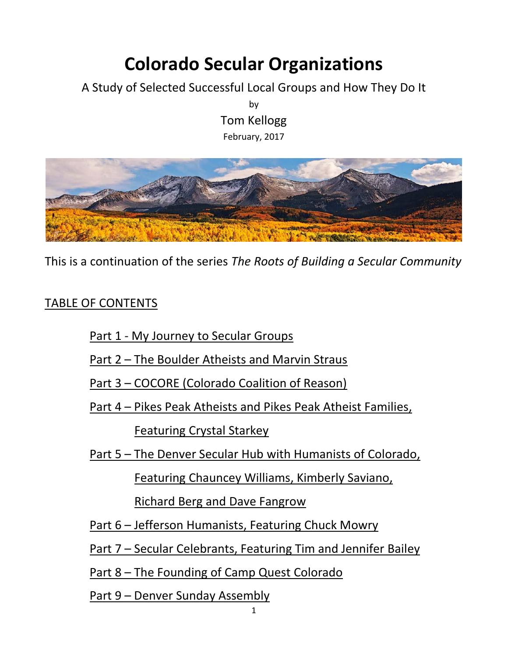## **Colorado Secular Organizations**

A Study of Selected Successful Local Groups and How They Do It

by Tom Kellogg February, 2017



This is a continuation of the series *The Roots of Building a Secular Community*

## TABLE OF CONTENTS

Part 1 - My Journey to Secular Groups

Part 2 – The Boulder Atheists and Marvin Straus

Part 3 – COCORE (Colorado Coalition of Reason)

Part 4 – Pikes Peak Atheists and Pikes Peak Atheist Families,

Featuring Crystal Starkey

Part 5 – The Denver Secular Hub with Humanists of Colorado,

Featuring Chauncey Williams, Kimberly Saviano,

Richard Berg and Dave Fangrow

Part 6 – Jefferson Humanists, Featuring Chuck Mowry

Part 7 – Secular Celebrants, Featuring Tim and Jennifer Bailey

Part 8 – The Founding of Camp Quest Colorado

Part 9 – Denver Sunday Assembly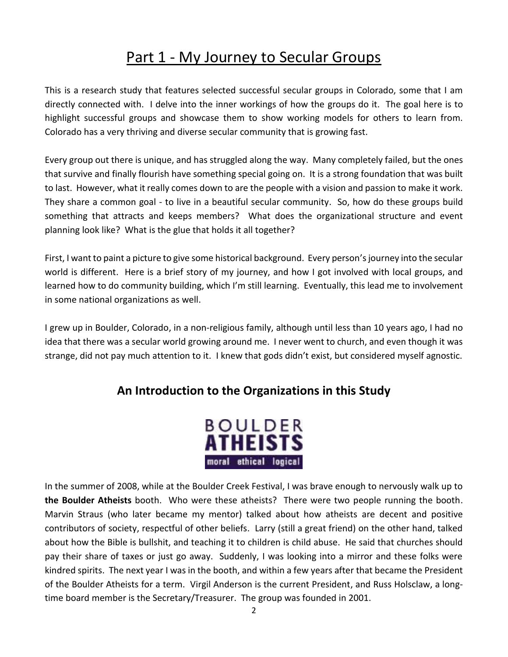## Part 1 - My Journey to Secular Groups

This is a research study that features selected successful secular groups in Colorado, some that I am directly connected with. I delve into the inner workings of how the groups do it. The goal here is to highlight successful groups and showcase them to show working models for others to learn from. Colorado has a very thriving and diverse secular community that is growing fast.

Every group out there is unique, and has struggled along the way. Many completely failed, but the ones that survive and finally flourish have something special going on. It is a strong foundation that was built to last. However, what it really comes down to are the people with a vision and passion to make it work. They share a common goal - to live in a beautiful secular community. So, how do these groups build something that attracts and keeps members? What does the organizational structure and event planning look like? What is the glue that holds it all together?

First, I want to paint a picture to give some historical background. Every person's journey into the secular world is different. Here is a brief story of my journey, and how I got involved with local groups, and learned how to do community building, which I'm still learning. Eventually, this lead me to involvement in some national organizations as well.

I grew up in Boulder, Colorado, in a non-religious family, although until less than 10 years ago, I had no idea that there was a secular world growing around me. I never went to church, and even though it was strange, did not pay much attention to it. I knew that gods didn't exist, but considered myself agnostic.

## **An Introduction to the Organizations in this Study**



In the summer of 2008, while at the Boulder Creek Festival, I was brave enough to nervously walk up to **the Boulder Atheists** booth. Who were these atheists? There were two people running the booth. Marvin Straus (who later became my mentor) talked about how atheists are decent and positive contributors of society, respectful of other beliefs. Larry (still a great friend) on the other hand, talked about how the Bible is bullshit, and teaching it to children is child abuse. He said that churches should pay their share of taxes or just go away. Suddenly, I was looking into a mirror and these folks were kindred spirits. The next year I was in the booth, and within a few years after that became the President of the Boulder Atheists for a term. Virgil Anderson is the current President, and Russ Holsclaw, a longtime board member is the Secretary/Treasurer. The group was founded in 2001.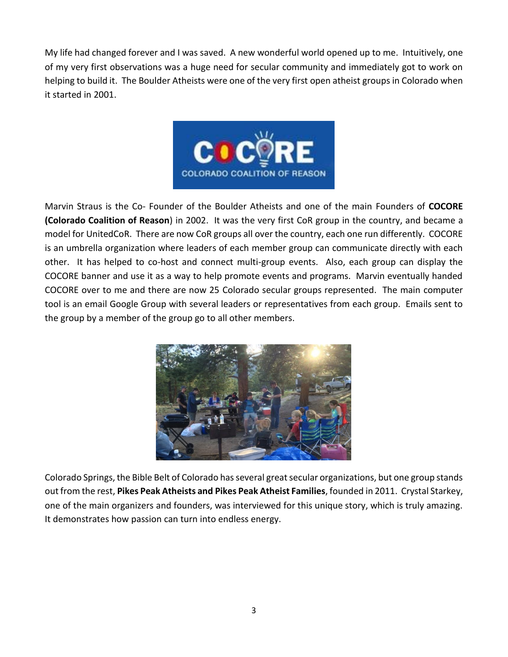My life had changed forever and I was saved. A new wonderful world opened up to me. Intuitively, one of my very first observations was a huge need for secular community and immediately got to work on helping to build it. The Boulder Atheists were one of the very first open atheist groups in Colorado when it started in 2001.



Marvin Straus is the Co- Founder of the Boulder Atheists and one of the main Founders of **COCORE (Colorado Coalition of Reason**) in 2002. It was the very first CoR group in the country, and became a model for UnitedCoR. There are now CoR groups all over the country, each one run differently. COCORE is an umbrella organization where leaders of each member group can communicate directly with each other. It has helped to co-host and connect multi-group events. Also, each group can display the COCORE banner and use it as a way to help promote events and programs. Marvin eventually handed COCORE over to me and there are now 25 Colorado secular groups represented. The main computer tool is an email Google Group with several leaders or representatives from each group. Emails sent to the group by a member of the group go to all other members.



Colorado Springs, the Bible Belt of Colorado has several great secular organizations, but one group stands out from the rest, **Pikes Peak Atheists and Pikes Peak Atheist Families**, founded in 2011. Crystal Starkey, one of the main organizers and founders, was interviewed for this unique story, which is truly amazing. It demonstrates how passion can turn into endless energy.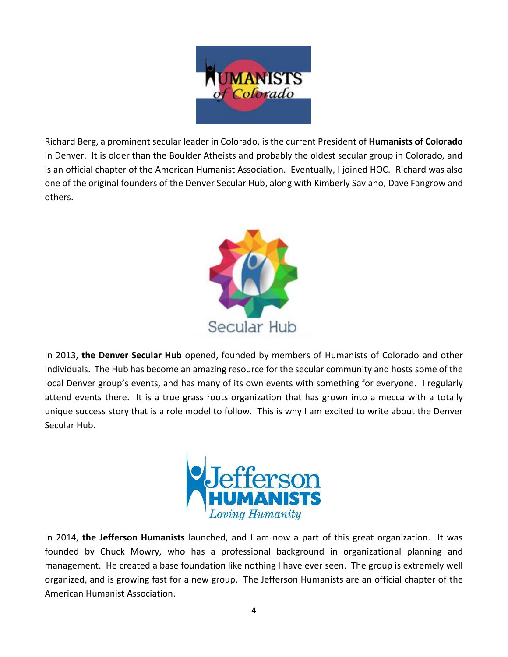

Richard Berg, a prominent secular leader in Colorado, is the current President of **Humanists of Colorado** in Denver. It is older than the Boulder Atheists and probably the oldest secular group in Colorado, and is an official chapter of the American Humanist Association. Eventually, I joined HOC. Richard was also one of the original founders of the Denver Secular Hub, along with Kimberly Saviano, Dave Fangrow and others.



In 2013, **the Denver Secular Hub** opened, founded by members of Humanists of Colorado and other individuals. The Hub has become an amazing resource for the secular community and hosts some of the local Denver group's events, and has many of its own events with something for everyone. I regularly attend events there. It is a true grass roots organization that has grown into a mecca with a totally unique success story that is a role model to follow. This is why I am excited to write about the Denver Secular Hub.



In 2014, **the Jefferson Humanists** launched, and I am now a part of this great organization. It was founded by Chuck Mowry, who has a professional background in organizational planning and management. He created a base foundation like nothing I have ever seen. The group is extremely well organized, and is growing fast for a new group. The Jefferson Humanists are an official chapter of the American Humanist Association.